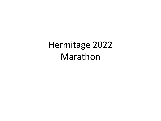Hermitage 2022 Marathon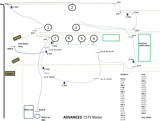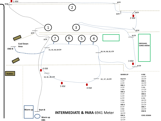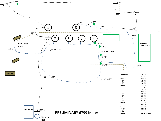